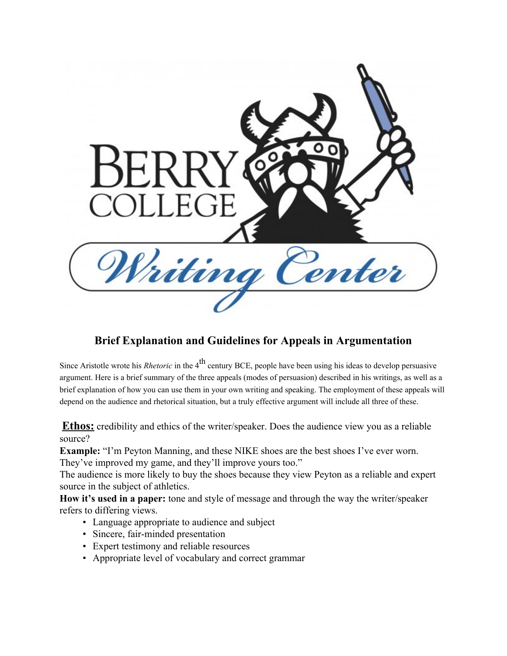

## **Brief Explanation and Guidelines for Appeals in Argumentation**

Since Aristotle wrote his *Rhetoric* in the 4<sup>th</sup> century BCE, people have been using his ideas to develop persuasive argument. Here is a brief summary of the three appeals (modes of persuasion) described in his writings, as well as a brief explanation of how you can use them in your own writing and speaking. The employment of these appeals will depend on the audience and rhetorical situation, but a truly effective argument will include all three of these.

**Ethos:** credibility and ethics of the writer/speaker. Does the audience view you as a reliable source?

**Example:** "I'm Peyton Manning, and these NIKE shoes are the best shoes I've ever worn. They've improved my game, and they'll improve yours too."

The audience is more likely to buy the shoes because they view Peyton as a reliable and expert source in the subject of athletics.

**How it's used in a paper:** tone and style of message and through the way the writer/speaker refers to differing views.

- Language appropriate to audience and subject
- Sincere, fair-minded presentation
- Expert testimony and reliable resources
- Appropriate level of vocabulary and correct grammar